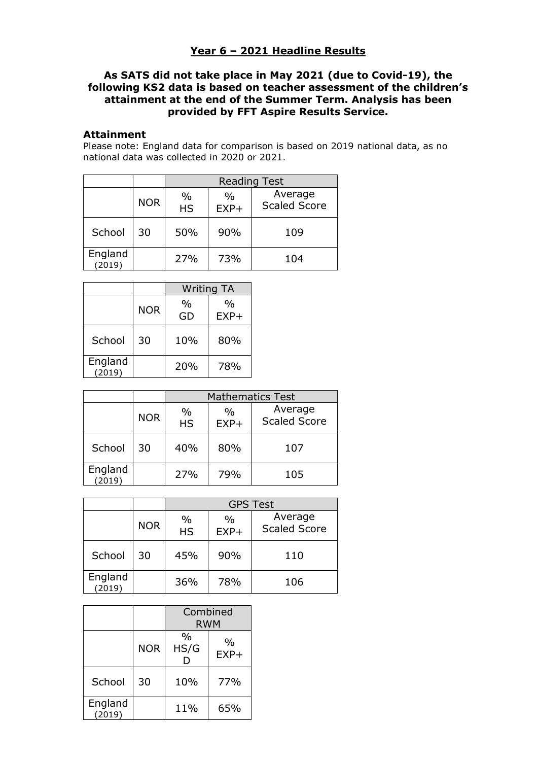## **Year 6 – 2021 Headline Results**

## **As SATS did not take place in May 2021 (due to Covid-19), the following KS2 data is based on teacher assessment of the children's attainment at the end of the Summer Term. Analysis has been provided by FFT Aspire Results Service.**

## **Attainment**

Please note: England data for comparison is based on 2019 national data, as no national data was collected in 2020 or 2021.

|                   |            | <b>Reading Test</b>        |                |                                |
|-------------------|------------|----------------------------|----------------|--------------------------------|
|                   | <b>NOR</b> | $\frac{0}{0}$<br><b>HS</b> | $\%$<br>$EXP+$ | Average<br><b>Scaled Score</b> |
| School            | 30         | 50%                        | 90%            | 109                            |
| England<br>(2019) |            | 27%                        | 73%            | 104                            |

|                   |            | <b>Writing TA</b>   |                |
|-------------------|------------|---------------------|----------------|
|                   | <b>NOR</b> | $\frac{0}{0}$<br>GD | $\%$<br>$EXP+$ |
| School            | 30         | 10%                 | 80%            |
| England<br>(2019) |            | 20%                 | 78%            |

|                   |            | <b>Mathematics Test</b>    |                         |                                |
|-------------------|------------|----------------------------|-------------------------|--------------------------------|
|                   | <b>NOR</b> | $\frac{0}{0}$<br><b>HS</b> | $\frac{0}{0}$<br>$EXP+$ | Average<br><b>Scaled Score</b> |
| School            | 30         | 40%                        | 80%                     | 107                            |
| England<br>(2019) |            | 27%                        | 79%                     | 105                            |

|                   |            | <b>GPS Test</b>            |                         |                                |
|-------------------|------------|----------------------------|-------------------------|--------------------------------|
|                   | <b>NOR</b> | $\frac{0}{0}$<br><b>HS</b> | $\frac{0}{0}$<br>$EXP+$ | Average<br><b>Scaled Score</b> |
| School            | 30         | 45%                        | 90%                     | 110                            |
| England<br>(2019) |            | 36%                        | 78%                     | 106                            |

|                   |            | Combined<br><b>RWM</b> |                         |
|-------------------|------------|------------------------|-------------------------|
|                   | <b>NOR</b> | $\frac{0}{0}$<br>HS/G  | $\frac{0}{0}$<br>$EXP+$ |
| School            | 30         | 10%                    | 77%                     |
| England<br>(2019) |            | 11%                    | 65%                     |